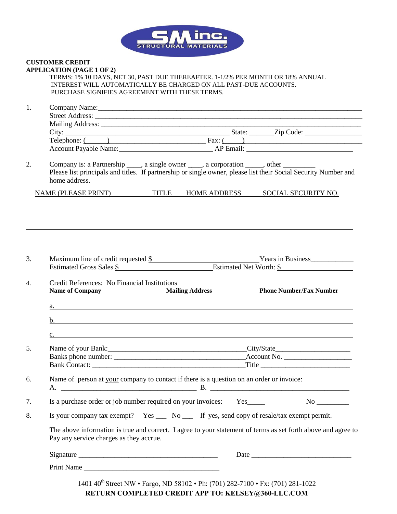

## **CUSTOMER CREDIT APPLICATION (PAGE 1 OF 2)**

| TERMS: 1% 10 DAYS, NET 30, PAST DUE THEREAFTER. 1-1/2% PER MONTH OR 18% ANNUAL |  |
|--------------------------------------------------------------------------------|--|
| INTEREST WILL AUTOMATICALLY BE CHARGED ON ALL PAST-DUE ACCOUNTS.               |  |
| PURCHASE SIGNIFIES AGREEMENT WITH THESE TERMS.                                 |  |
|                                                                                |  |

| 1. |                                                                                                                                                          |  |                        |  |  |                                |  |
|----|----------------------------------------------------------------------------------------------------------------------------------------------------------|--|------------------------|--|--|--------------------------------|--|
|    |                                                                                                                                                          |  |                        |  |  |                                |  |
|    |                                                                                                                                                          |  |                        |  |  |                                |  |
|    |                                                                                                                                                          |  |                        |  |  |                                |  |
|    | Telephone: $\overline{(\hspace{.1cm})\hspace{.1cm}}$ Fax: $\overline{(\hspace{.1cm})\hspace{.1cm}}$                                                      |  |                        |  |  |                                |  |
|    | Account Payable Name: AP Email: AP Email:                                                                                                                |  |                        |  |  |                                |  |
| 2. | Company is: a Partnership ____, a single owner ____, a corporation _____, other ________                                                                 |  |                        |  |  |                                |  |
|    | Please list principals and titles. If partnership or single owner, please list their Social Security Number and                                          |  |                        |  |  |                                |  |
|    | home address.                                                                                                                                            |  |                        |  |  |                                |  |
|    |                                                                                                                                                          |  |                        |  |  |                                |  |
|    | NAME (PLEASE PRINT) TITLE HOME ADDRESS SOCIAL SECURITY NO.                                                                                               |  |                        |  |  |                                |  |
|    |                                                                                                                                                          |  |                        |  |  |                                |  |
|    |                                                                                                                                                          |  |                        |  |  |                                |  |
|    |                                                                                                                                                          |  |                        |  |  |                                |  |
| 3. |                                                                                                                                                          |  |                        |  |  |                                |  |
|    | Maximum line of credit requested \$<br>Estimated Gross Sales \$<br>Estimated Net Worth: \$                                                               |  |                        |  |  |                                |  |
|    |                                                                                                                                                          |  |                        |  |  |                                |  |
| 4. | Credit References: No Financial Institutions                                                                                                             |  |                        |  |  |                                |  |
|    | <b>Name of Company</b>                                                                                                                                   |  | <b>Mailing Address</b> |  |  | <b>Phone Number/Fax Number</b> |  |
|    | $\underline{\mathbf{a}}$ .                                                                                                                               |  |                        |  |  |                                |  |
|    |                                                                                                                                                          |  |                        |  |  |                                |  |
|    | b. $\qquad \qquad$                                                                                                                                       |  |                        |  |  |                                |  |
|    | c.                                                                                                                                                       |  |                        |  |  |                                |  |
| 5. |                                                                                                                                                          |  |                        |  |  |                                |  |
|    |                                                                                                                                                          |  |                        |  |  |                                |  |
|    |                                                                                                                                                          |  |                        |  |  |                                |  |
|    |                                                                                                                                                          |  |                        |  |  |                                |  |
| 6. | Name of person at your company to contact if there is a question on an order or invoice:                                                                 |  |                        |  |  |                                |  |
|    |                                                                                                                                                          |  |                        |  |  |                                |  |
| 7. | Is a purchase order or job number required on your invoices:                                                                                             |  |                        |  |  |                                |  |
| 8. | Is your company tax exempt? Yes _____ No ______ If yes, send copy of resale/tax exempt permit.                                                           |  |                        |  |  |                                |  |
|    | The above information is true and correct. I agree to your statement of terms as set forth above and agree to<br>Pay any service charges as they accrue. |  |                        |  |  |                                |  |
|    |                                                                                                                                                          |  |                        |  |  |                                |  |
|    |                                                                                                                                                          |  |                        |  |  |                                |  |
|    | Print Name                                                                                                                                               |  |                        |  |  |                                |  |
|    |                                                                                                                                                          |  |                        |  |  |                                |  |

1401 40<sup>th</sup> Street NW • Fargo, ND 58102 • Ph: (701) 282-7100 • Fx: (701) 281-1022 **RETURN COMPLETED CREDIT APP TO: KELSEY@360-LLC.COM**